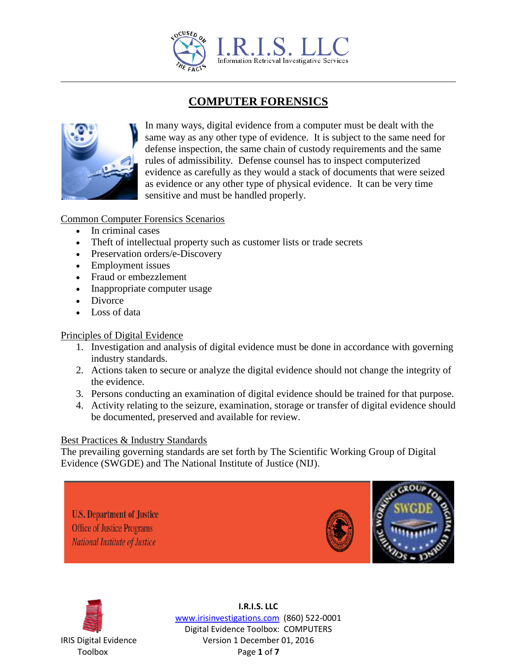

# **COMPUTER FORENSICS**



In many ways, digital evidence from a computer must be dealt with the same way as any other type of evidence. It is subject to the same need for defense inspection, the same chain of custody requirements and the same rules of admissibility. Defense counsel has to inspect computerized evidence as carefully as they would a stack of documents that were seized as evidence or any other type of physical evidence. It can be very time sensitive and must be handled properly.

## Common Computer Forensics Scenarios

- In criminal cases
- Theft of intellectual property such as customer lists or trade secrets
- Preservation orders/e-Discovery
- Employment issues
- Fraud or embezzlement
- Inappropriate computer usage
- Divorce
- Loss of data

#### Principles of Digital Evidence

- 1. Investigation and analysis of digital evidence must be done in accordance with governing industry standards.
- 2. Actions taken to secure or analyze the digital evidence should not change the integrity of the evidence.
- 3. Persons conducting an examination of digital evidence should be trained for that purpose.
- 4. Activity relating to the seizure, examination, storage or transfer of digital evidence should be documented, preserved and available for review.

#### Best Practices & Industry Standards

The prevailing governing standards are set forth by The Scientific Working Group of Digital Evidence (SWGDE) and The National Institute of Justice (NIJ).

**U.S. Department of Justice Office of Justice Programs** National Institute of Justice





**I.R.I.S. LLC** www.irisinvestigations.com (860) 522-0001 Digital Evidence Toolbox: COMPUTERS IRIS Digital Evidence Version 1 December 01, 2016 Toolbox Page **1** of **7**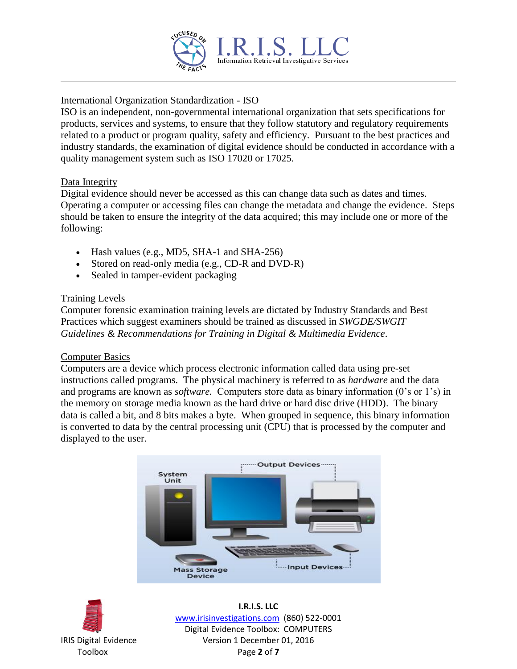

# International Organization Standardization - ISO

ISO is an independent, non-governmental international organization that sets specifications for products, services and systems, to ensure that they follow statutory and regulatory requirements related to a product or program quality, safety and efficiency. Pursuant to the best practices and industry standards, the examination of digital evidence should be conducted in accordance with a quality management system such as ISO 17020 or 17025.

## Data Integrity

Digital evidence should never be accessed as this can change data such as dates and times. Operating a computer or accessing files can change the metadata and change the evidence. Steps should be taken to ensure the integrity of the data acquired; this may include one or more of the following:

- $\bullet$  Hash values (e.g., MD5, SHA-1 and SHA-256)
- Stored on read-only media (e.g., CD-R and DVD-R)
- Sealed in tamper-evident packaging

# Training Levels

Computer forensic examination training levels are dictated by Industry Standards and Best Practices which suggest examiners should be trained as discussed in *SWGDE/SWGIT Guidelines & Recommendations for Training in Digital & Multimedia Evidence*.

#### Computer Basics

Computers are a device which process electronic information called data using pre-set instructions called programs. The physical machinery is referred to as *hardware* and the data and programs are known as *software.* Computers store data as binary information (0's or 1's) in the memory on storage media known as the hard drive or hard disc drive (HDD). The binary data is called a bit, and 8 bits makes a byte. When grouped in sequence, this binary information is converted to data by the central processing unit (CPU) that is processed by the computer and displayed to the user.





**I.R.I.S. LLC** www.irisinvestigations.com (860) 522-0001 Digital Evidence Toolbox: COMPUTERS IRIS Digital Evidence Version 1 December 01, 2016 Toolbox Page **2** of **7**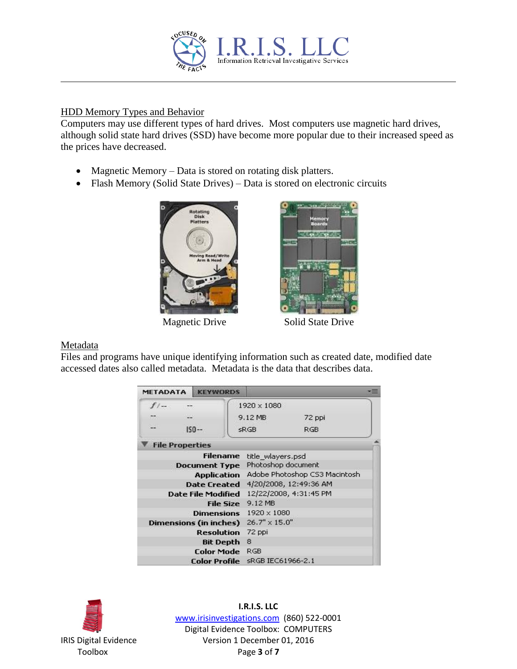

## HDD Memory Types and Behavior

Computers may use different types of hard drives. Most computers use magnetic hard drives, although solid state hard drives (SSD) have become more popular due to their increased speed as the prices have decreased.

- Magnetic Memory Data is stored on rotating disk platters.
- Flash Memory (Solid State Drives) Data is stored on electronic circuits





Magnetic Drive Solid State Drive

#### Metadata

Files and programs have unique identifying information such as created date, modified date accessed dates also called metadata. Metadata is the data that describes data.

| <b>METADATA</b>           | <b>KEYWORDS</b> |                               |        |
|---------------------------|-----------------|-------------------------------|--------|
| $f$ / $-$                 |                 | 1920 x 1080                   |        |
|                           | 822             | 9.12 MB                       | 72 ppi |
| e.                        | $ISO-$          | sRGB                          | RGB.   |
| <b>File Properties</b>    |                 |                               |        |
|                           | <b>Filename</b> | title wlayers.psd             |        |
| <b>Document Type</b>      |                 | Photoshop document            |        |
| <b>Application</b>        |                 | Adobe Photoshop C53 Macintosh |        |
| <b>Date Created</b>       |                 | 4/20/2008, 12:49:36 AM        |        |
| <b>Date File Modified</b> |                 | 12/22/2008, 4:31:45 PM        |        |
| <b>File Size</b>          |                 | 9.12 MB                       |        |
| <b>Dimensions</b>         |                 | 1920 × 1080                   |        |
| Dimensions (in inches)    |                 | $26.7" \times 15.0"$          |        |
| <b>Resolution</b>         |                 | 72 ppi                        |        |
| <b>Bit Depth</b>          |                 | 8                             |        |
| <b>Color Mode</b>         |                 | <b>RGB</b>                    |        |
| Color Profile             |                 | sRGB IEC61966-2.1             |        |



**I.R.I.S. LLC** www.irisinvestigations.com (860) 522-0001 Digital Evidence Toolbox: COMPUTERS IRIS Digital Evidence Version 1 December 01, 2016 Toolbox Page **3** of **7**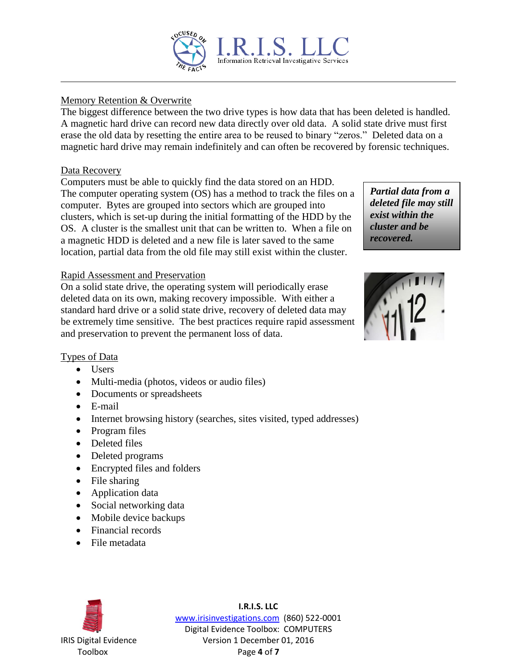

# Memory Retention & Overwrite

The biggest difference between the two drive types is how data that has been deleted is handled. A magnetic hard drive can record new data directly over old data. A solid state drive must first erase the old data by resetting the entire area to be reused to binary "zeros." Deleted data on a magnetic hard drive may remain indefinitely and can often be recovered by forensic techniques.

# Data Recovery

Computers must be able to quickly find the data stored on an HDD. The computer operating system (OS) has a method to track the files on a computer. Bytes are grouped into sectors which are grouped into clusters, which is set-up during the initial formatting of the HDD by the OS. A cluster is the smallest unit that can be written to. When a file on a magnetic HDD is deleted and a new file is later saved to the same location, partial data from the old file may still exist within the cluster.

#### Rapid Assessment and Preservation

On a solid state drive, the operating system will periodically erase deleted data on its own, making recovery impossible. With either a standard hard drive or a solid state drive, recovery of deleted data may be extremely time sensitive. The best practices require rapid assessment and preservation to prevent the permanent loss of data.





# Types of Data

- Users
- Multi-media (photos, videos or audio files)
- Documents or spreadsheets
- E-mail
- Internet browsing history (searches, sites visited, typed addresses)
- Program files
- Deleted files
- Deleted programs
- Encrypted files and folders
- File sharing
- Application data
- Social networking data
- Mobile device backups
- Financial records
- File metadata



**I.R.I.S. LLC** www.irisinvestigations.com (860) 522-0001 Digital Evidence Toolbox: COMPUTERS IRIS Digital Evidence Version 1 December 01, 2016 Toolbox Page **4** of **7**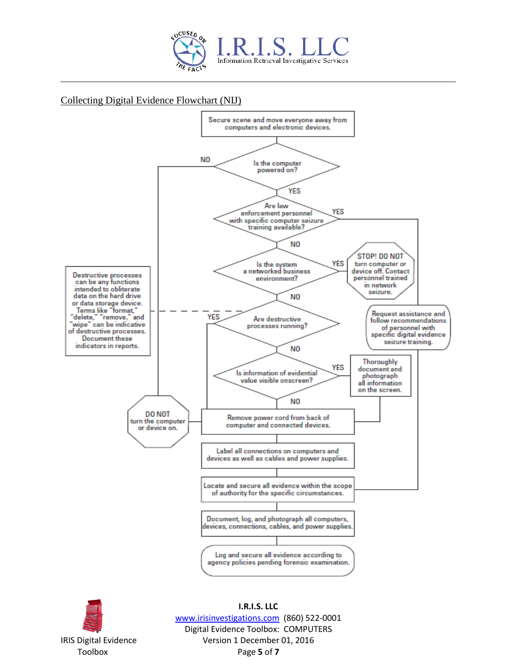

## Collecting Digital Evidence Flowchart (NIJ)





**I.R.I.S. LLC** www.irisinvestigations.com (860) 522-0001 Digital Evidence Toolbox: COMPUTERS IRIS Digital Evidence Version 1 December 01, 2016 Toolbox Page **5** of **7**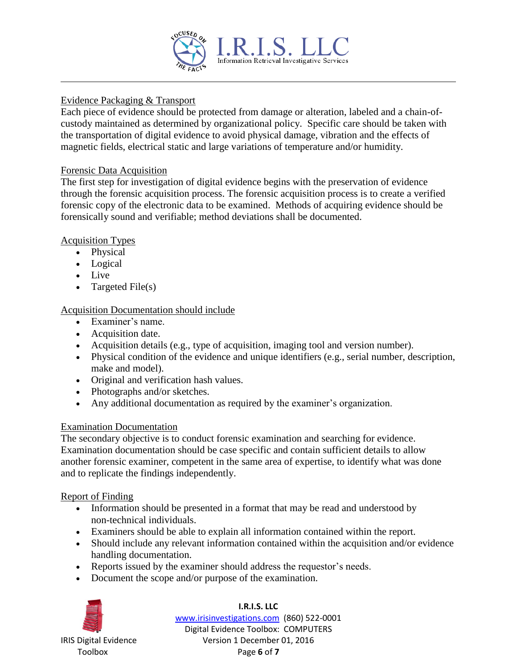

## Evidence Packaging & Transport

Each piece of evidence should be protected from damage or alteration, labeled and a chain-ofcustody maintained as determined by organizational policy. Specific care should be taken with the transportation of digital evidence to avoid physical damage, vibration and the effects of magnetic fields, electrical static and large variations of temperature and/or humidity.

#### Forensic Data Acquisition

The first step for investigation of digital evidence begins with the preservation of evidence through the forensic acquisition process. The forensic acquisition process is to create a verified forensic copy of the electronic data to be examined. Methods of acquiring evidence should be forensically sound and verifiable; method deviations shall be documented.

## Acquisition Types

- Physical
- Logical
- Live
- Targeted File $(s)$

# Acquisition Documentation should include

- Examiner's name.
- Acquisition date.
- Acquisition details (e.g., type of acquisition, imaging tool and version number).
- Physical condition of the evidence and unique identifiers (e.g., serial number, description, make and model).
- Original and verification hash values.
- Photographs and/or sketches.
- Any additional documentation as required by the examiner's organization.

# Examination Documentation

The secondary objective is to conduct forensic examination and searching for evidence. Examination documentation should be case specific and contain sufficient details to allow another forensic examiner, competent in the same area of expertise, to identify what was done and to replicate the findings independently.

#### Report of Finding

- Information should be presented in a format that may be read and understood by non-technical individuals.
- Examiners should be able to explain all information contained within the report.
- Should include any relevant information contained within the acquisition and/or evidence handling documentation.
- Reports issued by the examiner should address the requestor's needs.
- Document the scope and/or purpose of the examination.



#### **I.R.I.S. LLC** www.irisinvestigations.com (860) 522-0001 Digital Evidence Toolbox: COMPUTERS IRIS Digital Evidence Version 1 December 01, 2016 Toolbox Page **6** of **7**